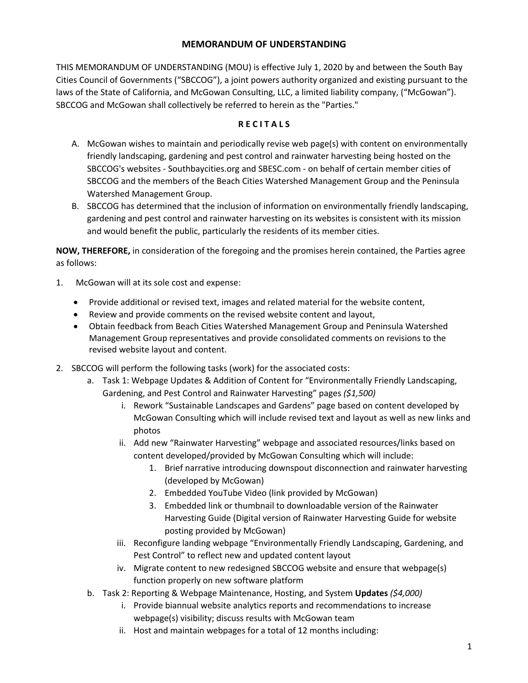## **MEMORANDUM OF UNDERSTANDING**

THIS MEMORANDUM OF UNDERSTANDING (MOU) is effective July 1, 2020 by and between the South Bay Cities Council of Governments ("SBCCOG"), a joint powers authority organized and existing pursuant to the laws of the State of California, and McGowan Consulting, LLC, a limited liability company, ("McGowan"). SBCCOG and McGowan shall collectively be referred to herein as the "Parties."

## **R E C I T A L S**

- A. McGowan wishes to maintain and periodically revise web page(s) with content on environmentally friendly landscaping, gardening and pest control and rainwater harvesting being hosted on the SBCCOG's websites - Southbaycities.org and SBESC.com - on behalf of certain member cities of SBCCOG and the members of the Beach Cities Watershed Management Group and the Peninsula Watershed Management Group.
- B. SBCCOG has determined that the inclusion of information on environmentally friendly landscaping, gardening and pest control and rainwater harvesting on its websites is consistent with its mission and would benefit the public, particularly the residents of its member cities.

**NOW, THEREFORE,** in consideration of the foregoing and the promises herein contained, the Parties agree as follows:

- 1. McGowan will at its sole cost and expense:
	- Provide additional or revised text, images and related material for the website content,
	- Review and provide comments on the revised website content and layout,
	- Obtain feedback from Beach Cities Watershed Management Group and Peninsula Watershed Management Group representatives and provide consolidated comments on revisions to the revised website layout and content.
- 2. SBCCOG will perform the following tasks (work) for the associated costs:
	- a. Task 1: Webpage Updates & Addition of Content for "Environmentally Friendly Landscaping, Gardening, and Pest Control and Rainwater Harvesting" pages *(\$1,500)*
		- i. Rework "Sustainable Landscapes and Gardens" page based on content developed by McGowan Consulting which will include revised text and layout as well as new links and photos
		- ii. Add new "Rainwater Harvesting" webpage and associated resources/links based on content developed/provided by McGowan Consulting which will include:
			- 1. Brief narrative introducing downspout disconnection and rainwater harvesting (developed by McGowan)
			- 2. Embedded YouTube Video (link provided by McGowan)
			- 3. Embedded link or thumbnail to downloadable version of the Rainwater Harvesting Guide (Digital version of Rainwater Harvesting Guide for website posting provided by McGowan)
		- iii. Reconfigure landing webpage "Environmentally Friendly Landscaping, Gardening, and Pest Control" to reflect new and updated content layout
		- iv. Migrate content to new redesigned SBCCOG website and ensure that webpage(s) function properly on new software platform
	- b. Task 2: Reporting & Webpage Maintenance, Hosting, and System **Updates** *(\$4,000)*
		- i. Provide biannual website analytics reports and recommendations to increase webpage(s) visibility; discuss results with McGowan team
		- ii. Host and maintain webpages for a total of 12 months including: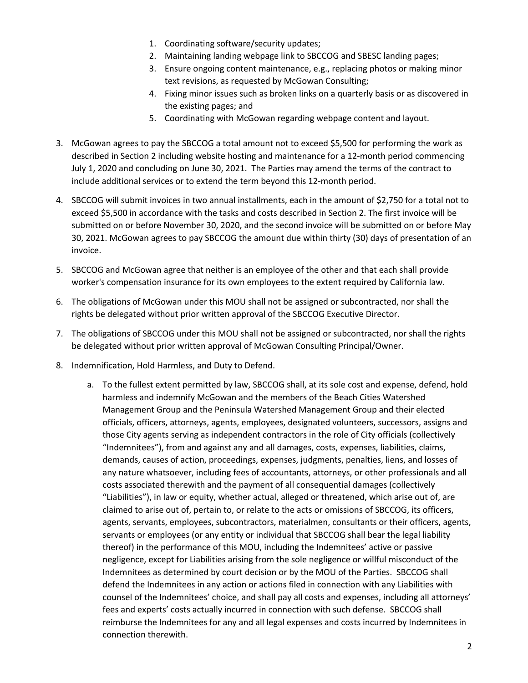- 1. Coordinating software/security updates;
- 2. Maintaining landing webpage link to SBCCOG and SBESC landing pages;
- 3. Ensure ongoing content maintenance, e.g., replacing photos or making minor text revisions, as requested by McGowan Consulting;
- 4. Fixing minor issues such as broken links on a quarterly basis or as discovered in the existing pages; and
- 5. Coordinating with McGowan regarding webpage content and layout.
- 3. McGowan agrees to pay the SBCCOG a total amount not to exceed \$5,500 for performing the work as described in Section 2 including website hosting and maintenance for a 12-month period commencing July 1, 2020 and concluding on June 30, 2021. The Parties may amend the terms of the contract to include additional services or to extend the term beyond this 12-month period.
- 4. SBCCOG will submit invoices in two annual installments, each in the amount of \$2,750 for a total not to exceed \$5,500 in accordance with the tasks and costs described in Section 2. The first invoice will be submitted on or before November 30, 2020, and the second invoice will be submitted on or before May 30, 2021. McGowan agrees to pay SBCCOG the amount due within thirty (30) days of presentation of an invoice.
- 5. SBCCOG and McGowan agree that neither is an employee of the other and that each shall provide worker's compensation insurance for its own employees to the extent required by California law.
- 6. The obligations of McGowan under this MOU shall not be assigned or subcontracted, nor shall the rights be delegated without prior written approval of the SBCCOG Executive Director.
- 7. The obligations of SBCCOG under this MOU shall not be assigned or subcontracted, nor shall the rights be delegated without prior written approval of McGowan Consulting Principal/Owner.
- 8. Indemnification, Hold Harmless, and Duty to Defend.
	- a. To the fullest extent permitted by law, SBCCOG shall, at its sole cost and expense, defend, hold harmless and indemnify McGowan and the members of the Beach Cities Watershed Management Group and the Peninsula Watershed Management Group and their elected officials, officers, attorneys, agents, employees, designated volunteers, successors, assigns and those City agents serving as independent contractors in the role of City officials (collectively "Indemnitees"), from and against any and all damages, costs, expenses, liabilities, claims, demands, causes of action, proceedings, expenses, judgments, penalties, liens, and losses of any nature whatsoever, including fees of accountants, attorneys, or other professionals and all costs associated therewith and the payment of all consequential damages (collectively "Liabilities"), in law or equity, whether actual, alleged or threatened, which arise out of, are claimed to arise out of, pertain to, or relate to the acts or omissions of SBCCOG, its officers, agents, servants, employees, subcontractors, materialmen, consultants or their officers, agents, servants or employees (or any entity or individual that SBCCOG shall bear the legal liability thereof) in the performance of this MOU, including the Indemnitees' active or passive negligence, except for Liabilities arising from the sole negligence or willful misconduct of the Indemnitees as determined by court decision or by the MOU of the Parties. SBCCOG shall defend the Indemnitees in any action or actions filed in connection with any Liabilities with counsel of the Indemnitees' choice, and shall pay all costs and expenses, including all attorneys' fees and experts' costs actually incurred in connection with such defense. SBCCOG shall reimburse the Indemnitees for any and all legal expenses and costs incurred by Indemnitees in connection therewith.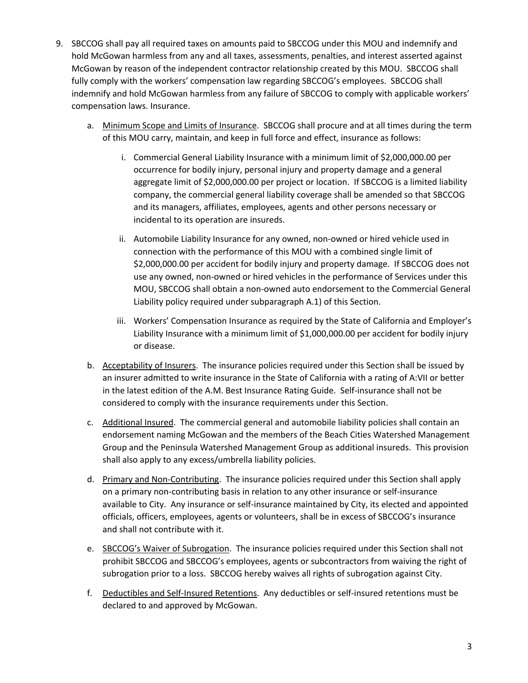- 9. SBCCOG shall pay all required taxes on amounts paid to SBCCOG under this MOU and indemnify and hold McGowan harmless from any and all taxes, assessments, penalties, and interest asserted against McGowan by reason of the independent contractor relationship created by this MOU. SBCCOG shall fully comply with the workers' compensation law regarding SBCCOG's employees. SBCCOG shall indemnify and hold McGowan harmless from any failure of SBCCOG to comply with applicable workers' compensation laws. Insurance.
	- a. Minimum Scope and Limits of Insurance. SBCCOG shall procure and at all times during the term of this MOU carry, maintain, and keep in full force and effect, insurance as follows:
		- i. Commercial General Liability Insurance with a minimum limit of \$2,000,000.00 per occurrence for bodily injury, personal injury and property damage and a general aggregate limit of \$2,000,000.00 per project or location. If SBCCOG is a limited liability company, the commercial general liability coverage shall be amended so that SBCCOG and its managers, affiliates, employees, agents and other persons necessary or incidental to its operation are insureds.
		- ii. Automobile Liability Insurance for any owned, non-owned or hired vehicle used in connection with the performance of this MOU with a combined single limit of \$2,000,000.00 per accident for bodily injury and property damage. If SBCCOG does not use any owned, non-owned or hired vehicles in the performance of Services under this MOU, SBCCOG shall obtain a non-owned auto endorsement to the Commercial General Liability policy required under subparagraph A.1) of this Section.
		- iii. Workers' Compensation Insurance as required by the State of California and Employer's Liability Insurance with a minimum limit of \$1,000,000.00 per accident for bodily injury or disease.
	- b. Acceptability of Insurers. The insurance policies required under this Section shall be issued by an insurer admitted to write insurance in the State of California with a rating of A:VII or better in the latest edition of the A.M. Best Insurance Rating Guide. Self-insurance shall not be considered to comply with the insurance requirements under this Section.
	- c. Additional Insured. The commercial general and automobile liability policies shall contain an endorsement naming McGowan and the members of the Beach Cities Watershed Management Group and the Peninsula Watershed Management Group as additional insureds. This provision shall also apply to any excess/umbrella liability policies.
	- d. Primary and Non-Contributing. The insurance policies required under this Section shall apply on a primary non-contributing basis in relation to any other insurance or self-insurance available to City. Any insurance or self-insurance maintained by City, its elected and appointed officials, officers, employees, agents or volunteers, shall be in excess of SBCCOG's insurance and shall not contribute with it.
	- e. SBCCOG's Waiver of Subrogation. The insurance policies required under this Section shall not prohibit SBCCOG and SBCCOG's employees, agents or subcontractors from waiving the right of subrogation prior to a loss. SBCCOG hereby waives all rights of subrogation against City.
	- f. Deductibles and Self-Insured Retentions. Any deductibles or self-insured retentions must be declared to and approved by McGowan.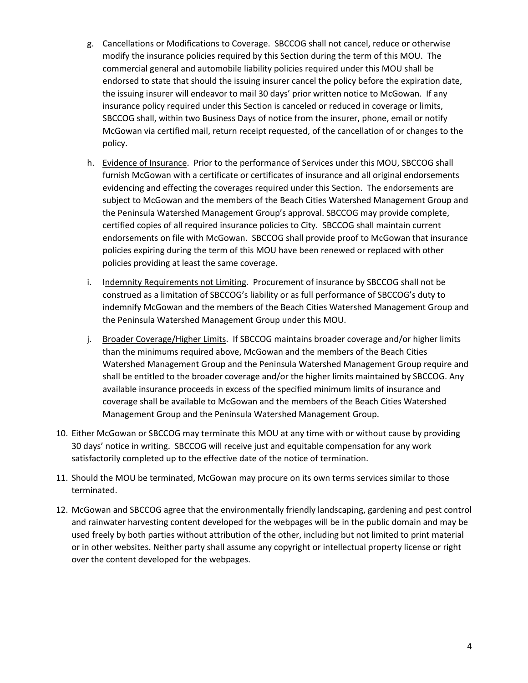- g. Cancellations or Modifications to Coverage. SBCCOG shall not cancel, reduce or otherwise modify the insurance policies required by this Section during the term of this MOU. The commercial general and automobile liability policies required under this MOU shall be endorsed to state that should the issuing insurer cancel the policy before the expiration date, the issuing insurer will endeavor to mail 30 days' prior written notice to McGowan. If any insurance policy required under this Section is canceled or reduced in coverage or limits, SBCCOG shall, within two Business Days of notice from the insurer, phone, email or notify McGowan via certified mail, return receipt requested, of the cancellation of or changes to the policy.
- h. Evidence of Insurance. Prior to the performance of Services under this MOU, SBCCOG shall furnish McGowan with a certificate or certificates of insurance and all original endorsements evidencing and effecting the coverages required under this Section. The endorsements are subject to McGowan and the members of the Beach Cities Watershed Management Group and the Peninsula Watershed Management Group's approval. SBCCOG may provide complete, certified copies of all required insurance policies to City. SBCCOG shall maintain current endorsements on file with McGowan. SBCCOG shall provide proof to McGowan that insurance policies expiring during the term of this MOU have been renewed or replaced with other policies providing at least the same coverage.
- i. Indemnity Requirements not Limiting. Procurement of insurance by SBCCOG shall not be construed as a limitation of SBCCOG's liability or as full performance of SBCCOG's duty to indemnify McGowan and the members of the Beach Cities Watershed Management Group and the Peninsula Watershed Management Group under this MOU.
- j. Broader Coverage/Higher Limits. If SBCCOG maintains broader coverage and/or higher limits than the minimums required above, McGowan and the members of the Beach Cities Watershed Management Group and the Peninsula Watershed Management Group require and shall be entitled to the broader coverage and/or the higher limits maintained by SBCCOG. Any available insurance proceeds in excess of the specified minimum limits of insurance and coverage shall be available to McGowan and the members of the Beach Cities Watershed Management Group and the Peninsula Watershed Management Group.
- 10. Either McGowan or SBCCOG may terminate this MOU at any time with or without cause by providing 30 days' notice in writing. SBCCOG will receive just and equitable compensation for any work satisfactorily completed up to the effective date of the notice of termination.
- 11. Should the MOU be terminated, McGowan may procure on its own terms services similar to those terminated.
- 12. McGowan and SBCCOG agree that the environmentally friendly landscaping, gardening and pest control and rainwater harvesting content developed for the webpages will be in the public domain and may be used freely by both parties without attribution of the other, including but not limited to print material or in other websites. Neither party shall assume any copyright or intellectual property license or right over the content developed for the webpages.